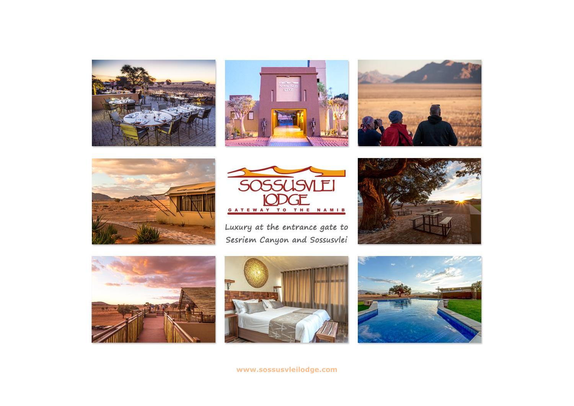









Luxury at the entrance gate to Sesriem Canyon and Sossusvlei









**[www.sossusvleilodge.com](http://www.sossusvleilodge.com/)**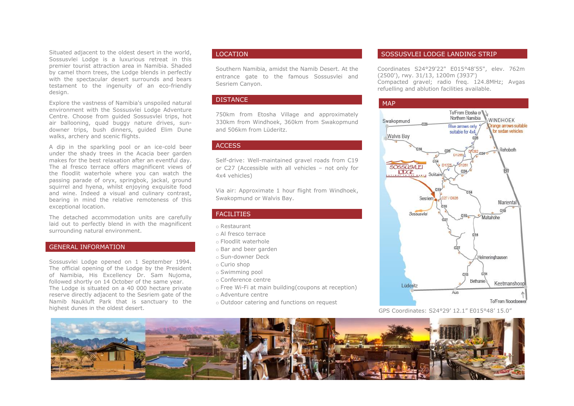Situated adjacent to the oldest desert in the world, Sossusvlei Lodge is a luxurious retreat in this premier tourist attraction area in Namibia. Shaded by camel thorn trees, the Lodge blends in perfectly with the spectacular desert surrounds and bears testament to the ingenuity of an eco-friendly design.

Explore the vastness of Namibia's unspoiled natural environment with the Sossusvlei Lodge Adventure Centre. Choose from guided Sossusvlei trips, hot air ballooning, quad buggy nature drives, sundowner trips, bush dinners, guided Elim Dune walks, archery and scenic flights.

A dip in the sparkling pool or an ice-cold beer under the shady trees in the Acacia beer garden makes for the best relaxation after an eventful day. The al fresco terrace offers magnificent views of the floodlit waterhole where you can watch the passing parade of oryx, springbok, jackal, ground squirrel and hyena, whilst enjoying exquisite food and wine. Indeed a visual and culinary contrast, bearing in mind the relative remoteness of this exceptional location.

The detached accommodation units are carefully laid out to perfectly blend in with the magnificent surrounding natural environment.

## GENERAL INFORMATION

Sossusvlei Lodge opened on 1 September 1994. The official opening of the Lodge by the President of Namibia, His Excellency Dr. Sam Nujoma, followed shortly on 14 October of the same year. The Lodge is situated on a 40 000 hectare private reserve directly adjacent to the Sesriem gate of the Namib Naukluft Park that is sanctuary to the highest dunes in the oldest desert.

# LOCATION

Southern Namibia, amidst the Namib Desert. At the entrance gate to the famous Sossusvlei and Sesriem Canyon.

## **DISTANCE**

750km from Etosha Village and approximately 330km from Windhoek, 360km from Swakopmund and 506km from Lüderitz.

# **ACCESS**

Self-drive: Well-maintained gravel roads from C19 or C27 (Accessible with all vehicles – not only for 4x4 vehicles)

Via air: Approximate 1 hour flight from Windhoek, Swakopmund or Walvis Bay.

#### FACILITIES

o Restaurant

- o Al fresco terrace
- o Floodlit waterhole
- o Bar and beer garden
- o Sun-downer Deck
- o Curio shop
- o Swimming pool
- o Conference centre
- o Free Wi-Fi at main building(coupons at reception)
- o Adventure centre
- o Outdoor catering and functions on request

#### SOSSUSVLEI LODGE LANDING STRIP

Coordinates S24°29'22" E015°48'55", elev. 762m (2500'), rwy. 31/13, 1200m (3937') Compacted gravel; radio freq. 124.8MHz; Avgas refuelling and ablution facilities available.



GPS Coordinates: S24°29' 12.1" E015°48' 15.0"

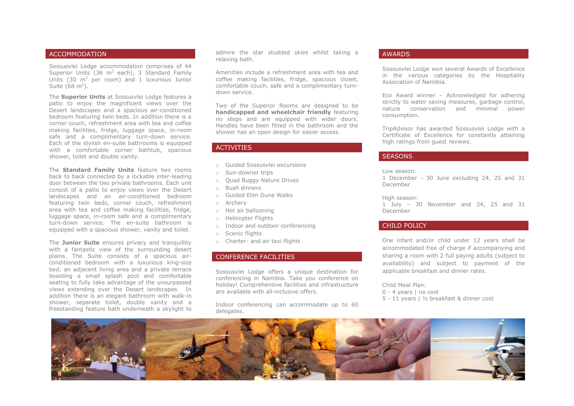## ACCOMMODATION

Sossusvlei Lodge accommodation comprises of 44 Superior Units (36  $m^2$  each), 3 Standard Family Units  $(30 \text{ m}^2 \text{ per room})$  and 1 luxurious Junior Suite (68 m<sup>2</sup>).

The **Superior Units** at Sossusvlei Lodge features a patio to enjoy the magnificent views over the Desert landscapes and a spacious air-conditioned bedroom featuring twin beds. In addition there is a corner couch, refreshment area with tea and coffee making facilities, fridge, luggage space, in-room safe and a complimentary turn-down service. Each of the stylish en-suite bathrooms is equipped with a comfortable corner bathtub, spacious shower, toilet and double vanity.

The **Standard Family Units** feature two rooms back to back connected by a lockable inter-leading door between the two private bathrooms. Each unit consist of a patio to enjoy views over the Desert landscapes and an air-conditioned bedroom featuring twin beds, corner couch, refreshment area with tea and coffee making facilities, fridge, luggage space, in-room safe and a complimentary turn-down service. The en-suite bathroom is equipped with a spacious shower, vanity and toilet.

The **Junior Suite** ensures privacy and tranquillity with a fantastic view of the surrounding desert plains. The Suite consists of a spacious airconditioned bedroom with a luxurious king-size bed, an adjacent living area and a private terrace boasting a small splash pool and comfortable seating to fully take advantage of the unsurpassed views extending over the Desert landscapes. In addition there is an elegant bathroom with walk-in shower, separate toilet, double vanity and a freestanding feature bath underneath a skylight to

admire the star studded skies whilst taking a relaxing bath.

Amenities include a refreshment area with tea and coffee making facilities, fridge, spacious closet, comfortable couch, safe and a complimentary turndown service.

Two of the Superior Rooms are designed to be **handicapped and wheelchair friendly** featuring no steps and are equipped with wider doors. Handles have been fitted in the bathroom and the shower has an open design for easier access.

## ACTIVITIES

- o Guided Sossusvlei excursions
- o Sun-downer trips
- o Quad Buggy Nature Drives
- o Bush dinners
- o Guided Elim Dune Walks
- o Archery
- o Hot air ballooning
- o Helicopter Flights
- o Indoor and outdoor conferencing
- o Scenic flights
- o Charter- and air taxi flights

## CONFERENCE FACILITIES

Sossusvlei Lodge offers a unique destination for conferencing in Namibia. Take you conference on holiday! Comprehensive facilities and infrastructure are available with all-inclusive offers.

Indoor conferencing can accommodate up to 60 delegates.

## AWARDS

Sossusvlei Lodge won several Awards of Excellence in the various categories by the Hospitality Association of Namibia.

Eco Award winner – Acknowledged for adhering strictly to water saving measures, garbage control, nature conservation and minimal power consumption.

TripAdvisor has awarded Sossusvlei Lodge with a Certificate of Excellence for constantly attaining high ratings from guest reviews.

### **SEASONS**

Low season:

1 December - 30 June excluding 24, 25 and 31 December

High season:

1 July – 30 November and 24, 25 and 31 December

## CHILD POLICY

One infant and/or child under 12 years shall be accommodated free of charge if accompanying and sharing a room with 2 full paying adults (subject to availability) and subject to payment of the applicable breakfast and dinner rates.

Child Meal Plan:

- 0 4 years | no cost
- 5 11 years | ½ breakfast & dinner cost